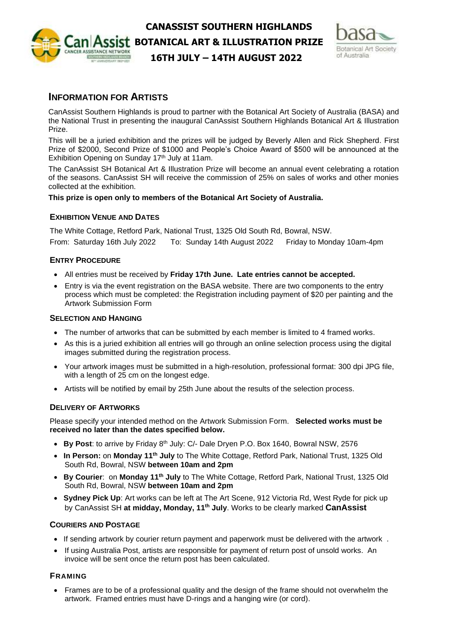

# **CANASSIST SOUTHERN HIGHLANDS BOTANICAL ART & ILLUSTRATION PRIZE 16TH JULY – 14TH AUGUST 2022**



# **INFORMATION FOR ARTISTS**

CanAssist Southern Highlands is proud to partner with the Botanical Art Society of Australia (BASA) and the National Trust in presenting the inaugural CanAssist Southern Highlands Botanical Art & Illustration Prize.

This will be a juried exhibition and the prizes will be judged by Beverly Allen and Rick Shepherd. First Prize of \$2000, Second Prize of \$1000 and People's Choice Award of \$500 will be announced at the Exhibition Opening on Sunday 17<sup>th</sup> July at 11am.

The CanAssist SH Botanical Art & Illustration Prize will become an annual event celebrating a rotation of the seasons. CanAssist SH will receive the commission of 25% on sales of works and other monies collected at the exhibition.

**This prize is open only to members of the Botanical Art Society of Australia.**

# **EXHIBITION VENUE AND DATES**

The White Cottage, Retford Park, National Trust, 1325 Old South Rd, Bowral, NSW.

From: Saturday 16th July 2022 To: Sunday 14th August 2022 Friday to Monday 10am-4pm

# **ENTRY PROCEDURE**

- All entries must be received by **Friday 17th June. Late entries cannot be accepted.**
- Entry is via the event registration on the BASA website. There are two components to the entry process which must be completed: the Registration including payment of \$20 per painting and the Artwork Submission Form

# **SELECTION AND HANGING**

- The number of artworks that can be submitted by each member is limited to 4 framed works.
- As this is a juried exhibition all entries will go through an online selection process using the digital images submitted during the registration process.
- Your artwork images must be submitted in a high-resolution, professional format: 300 dpi JPG file, with a length of 25 cm on the longest edge.
- Artists will be notified by email by 25th June about the results of the selection process.

# **DELIVERY OF ARTWORKS**

Please specify your intended method on the Artwork Submission Form. **Selected works must be received no later than the dates specified below.**

- **By Post**: to arrive by Friday 8th July: C/- Dale Dryen P.O. Box 1640, Bowral NSW, 2576
- **In Person:** on **Monday 11th July** to The White Cottage, Retford Park, National Trust, 1325 Old South Rd, Bowral, NSW **between 10am and 2pm**
- **By Courier**: on **Monday 11th July** to The White Cottage, Retford Park, National Trust, 1325 Old South Rd, Bowral, NSW **between 10am and 2pm**
- **Sydney Pick Up**: Art works can be left at The Art Scene, 912 Victoria Rd, West Ryde for pick up by CanAssist SH **at midday, Monday, 11 th July**. Works to be clearly marked **CanAssist**

# **COURIERS AND POSTAGE**

- If sending artwork by courier return payment and paperwork must be delivered with the artwork .
- If using Australia Post, artists are responsible for payment of return post of unsold works. An invoice will be sent once the return post has been calculated.

# **FRAMING**

• Frames are to be of a professional quality and the design of the frame should not overwhelm the artwork. Framed entries must have D-rings and a hanging wire (or cord).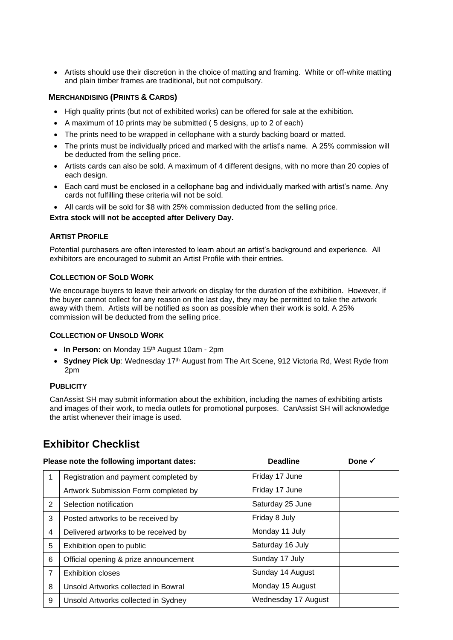• Artists should use their discretion in the choice of matting and framing. White or off-white matting and plain timber frames are traditional, but not compulsory.

#### **MERCHANDISING (PRINTS & CARDS)**

- High quality prints (but not of exhibited works) can be offered for sale at the exhibition.
- A maximum of 10 prints may be submitted ( 5 designs, up to 2 of each)
- The prints need to be wrapped in cellophane with a sturdy backing board or matted.
- The prints must be individually priced and marked with the artist's name. A 25% commission will be deducted from the selling price.
- Artists cards can also be sold. A maximum of 4 different designs, with no more than 20 copies of each design.
- Each card must be enclosed in a cellophane bag and individually marked with artist's name. Any cards not fulfilling these criteria will not be sold.
- All cards will be sold for \$8 with 25% commission deducted from the selling price.

#### **Extra stock will not be accepted after Delivery Day.**

### **ARTIST PROFILE**

Potential purchasers are often interested to learn about an artist's background and experience. All exhibitors are encouraged to submit an Artist Profile with their entries.

#### **COLLECTION OF SOLD WORK**

We encourage buyers to leave their artwork on display for the duration of the exhibition. However, if the buyer cannot collect for any reason on the last day, they may be permitted to take the artwork away with them. Artists will be notified as soon as possible when their work is sold. A 25% commission will be deducted from the selling price.

#### **COLLECTION OF UNSOLD WORK**

- In Person: on Monday 15<sup>th</sup> August 10am 2pm
- Sydney Pick Up: Wednesday 17<sup>th</sup> August from The Art Scene, 912 Victoria Rd, West Ryde from 2pm

#### **PUBLICITY**

CanAssist SH may submit information about the exhibition, including the names of exhibiting artists and images of their work, to media outlets for promotional purposes. CanAssist SH will acknowledge the artist whenever their image is used.

# **Exhibitor Checklist**

| Please note the following important dates: |                                       | <b>Deadline</b>     | Done $\checkmark$ |
|--------------------------------------------|---------------------------------------|---------------------|-------------------|
| 1                                          | Registration and payment completed by | Friday 17 June      |                   |
|                                            | Artwork Submission Form completed by  | Friday 17 June      |                   |
| $\overline{2}$                             | Selection notification                | Saturday 25 June    |                   |
| 3                                          | Posted artworks to be received by     | Friday 8 July       |                   |
| 4                                          | Delivered artworks to be received by  | Monday 11 July      |                   |
| 5                                          | Exhibition open to public             | Saturday 16 July    |                   |
| 6                                          | Official opening & prize announcement | Sunday 17 July      |                   |
| $\overline{7}$                             | Exhibition closes                     | Sunday 14 August    |                   |
| 8                                          | Unsold Artworks collected in Bowral   | Monday 15 August    |                   |
| 9                                          | Unsold Artworks collected in Sydney   | Wednesday 17 August |                   |